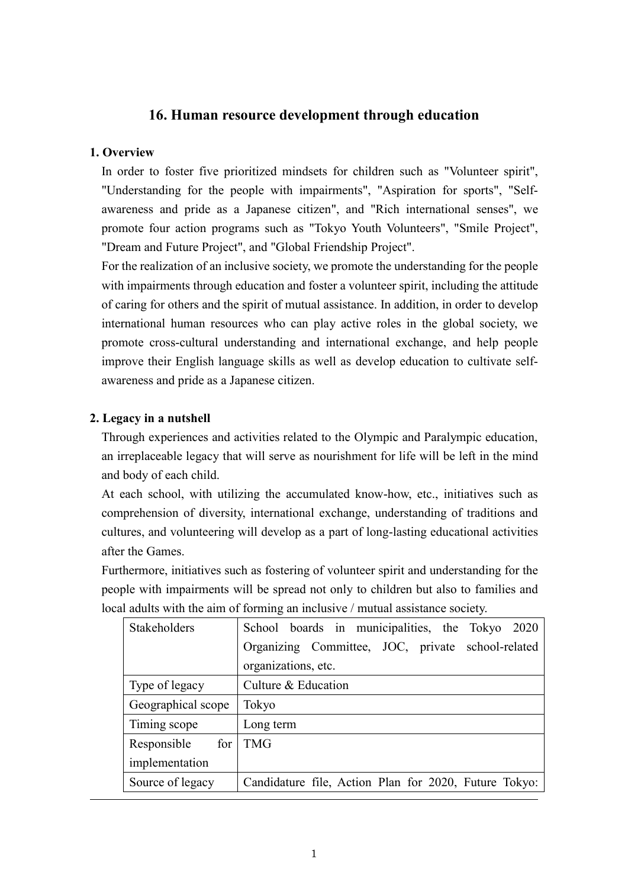# **16. Human resource development through education**

#### **1. Overview**

In order to foster five prioritized mindsets for children such as "Volunteer spirit", "Understanding for the people with impairments", "Aspiration for sports", "Selfawareness and pride as a Japanese citizen", and "Rich international senses", we promote four action programs such as "Tokyo Youth Volunteers", "Smile Project", "Dream and Future Project", and "Global Friendship Project".

For the realization of an inclusive society, we promote the understanding for the people with impairments through education and foster a volunteer spirit, including the attitude of caring for others and the spirit of mutual assistance. In addition, in order to develop international human resources who can play active roles in the global society, we promote cross-cultural understanding and international exchange, and help people improve their English language skills as well as develop education to cultivate selfawareness and pride as a Japanese citizen.

### **2. Legacy in a nutshell**

Through experiences and activities related to the Olympic and Paralympic education, an irreplaceable legacy that will serve as nourishment for life will be left in the mind and body of each child.

At each school, with utilizing the accumulated know-how, etc., initiatives such as comprehension of diversity, international exchange, understanding of traditions and cultures, and volunteering will develop as a part of long-lasting educational activities after the Games.

Furthermore, initiatives such as fostering of volunteer spirit and understanding for the people with impairments will be spread not only to children but also to families and local adults with the aim of forming an inclusive / mutual assistance society.

| Stakeholders       | School boards in municipalities, the Tokyo 2020       |
|--------------------|-------------------------------------------------------|
|                    | Organizing Committee, JOC, private school-related     |
|                    | organizations, etc.                                   |
| Type of legacy     | Culture & Education                                   |
| Geographical scope | Tokyo                                                 |
| Timing scope       | Long term                                             |
| Responsible for    | <b>TMG</b>                                            |
| implementation     |                                                       |
| Source of legacy   | Candidature file, Action Plan for 2020, Future Tokyo: |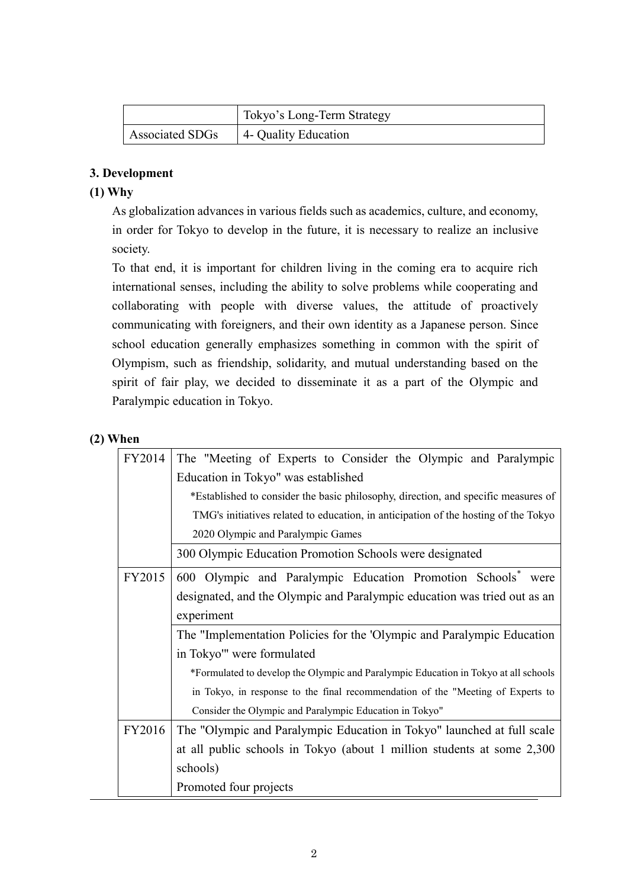|                        | Tokyo's Long-Term Strategy        |
|------------------------|-----------------------------------|
| <b>Associated SDGs</b> | <sup>1</sup> 4- Quality Education |

# **3. Development**

# **(1) Why**

As globalization advances in various fields such as academics, culture, and economy, in order for Tokyo to develop in the future, it is necessary to realize an inclusive society.

To that end, it is important for children living in the coming era to acquire rich international senses, including the ability to solve problems while cooperating and collaborating with people with diverse values, the attitude of proactively communicating with foreigners, and their own identity as a Japanese person. Since school education generally emphasizes something in common with the spirit of Olympism, such as friendship, solidarity, and mutual understanding based on the spirit of fair play, we decided to disseminate it as a part of the Olympic and Paralympic education in Tokyo.

# **(2) When**

| FY2014 | The "Meeting of Experts to Consider the Olympic and Paralympic                      |  |  |
|--------|-------------------------------------------------------------------------------------|--|--|
|        | Education in Tokyo" was established                                                 |  |  |
|        | *Established to consider the basic philosophy, direction, and specific measures of  |  |  |
|        | TMG's initiatives related to education, in anticipation of the hosting of the Tokyo |  |  |
|        | 2020 Olympic and Paralympic Games                                                   |  |  |
|        | 300 Olympic Education Promotion Schools were designated                             |  |  |
| FY2015 | 600 Olympic and Paralympic Education Promotion Schools <sup>*</sup> were            |  |  |
|        | designated, and the Olympic and Paralympic education was tried out as an            |  |  |
|        | experiment                                                                          |  |  |
|        | The "Implementation Policies for the 'Olympic and Paralympic Education              |  |  |
|        | in Tokyo'" were formulated                                                          |  |  |
|        | *Formulated to develop the Olympic and Paralympic Education in Tokyo at all schools |  |  |
|        | in Tokyo, in response to the final recommendation of the "Meeting of Experts to     |  |  |
|        | Consider the Olympic and Paralympic Education in Tokyo"                             |  |  |
| FY2016 | The "Olympic and Paralympic Education in Tokyo" launched at full scale              |  |  |
|        | at all public schools in Tokyo (about 1 million students at some 2,300              |  |  |
|        | schools)                                                                            |  |  |
|        | Promoted four projects                                                              |  |  |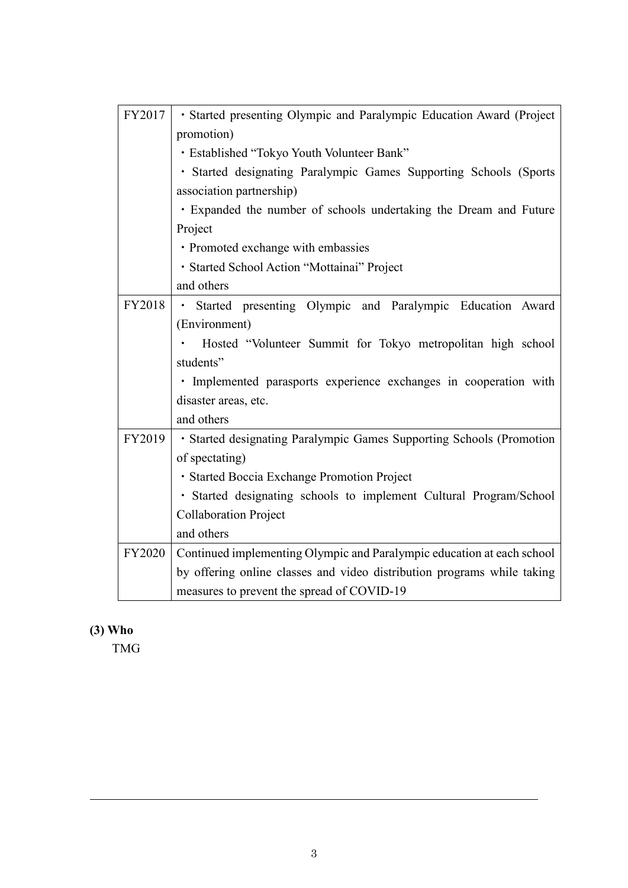| FY2017        | · Started presenting Olympic and Paralympic Education Award (Project    |  |  |
|---------------|-------------------------------------------------------------------------|--|--|
|               | promotion)                                                              |  |  |
|               | · Established "Tokyo Youth Volunteer Bank"                              |  |  |
|               | · Started designating Paralympic Games Supporting Schools (Sports       |  |  |
|               | association partnership)                                                |  |  |
|               | . Expanded the number of schools undertaking the Dream and Future       |  |  |
|               | Project                                                                 |  |  |
|               | · Promoted exchange with embassies                                      |  |  |
|               | · Started School Action "Mottainai" Project                             |  |  |
|               | and others                                                              |  |  |
| FY2018        | · Started presenting Olympic and Paralympic Education Award             |  |  |
|               | (Environment)                                                           |  |  |
|               | Hosted "Volunteer Summit for Tokyo metropolitan high school             |  |  |
|               | students"                                                               |  |  |
|               | · Implemented parasports experience exchanges in cooperation with       |  |  |
|               | disaster areas, etc.                                                    |  |  |
|               | and others                                                              |  |  |
| FY2019        | • Started designating Paralympic Games Supporting Schools (Promotion    |  |  |
|               | of spectating)                                                          |  |  |
|               | · Started Boccia Exchange Promotion Project                             |  |  |
|               | · Started designating schools to implement Cultural Program/School      |  |  |
|               | <b>Collaboration Project</b>                                            |  |  |
|               | and others                                                              |  |  |
| <b>FY2020</b> | Continued implementing Olympic and Paralympic education at each school  |  |  |
|               | by offering online classes and video distribution programs while taking |  |  |
|               | measures to prevent the spread of COVID-19                              |  |  |

# **(3) Who**

TMG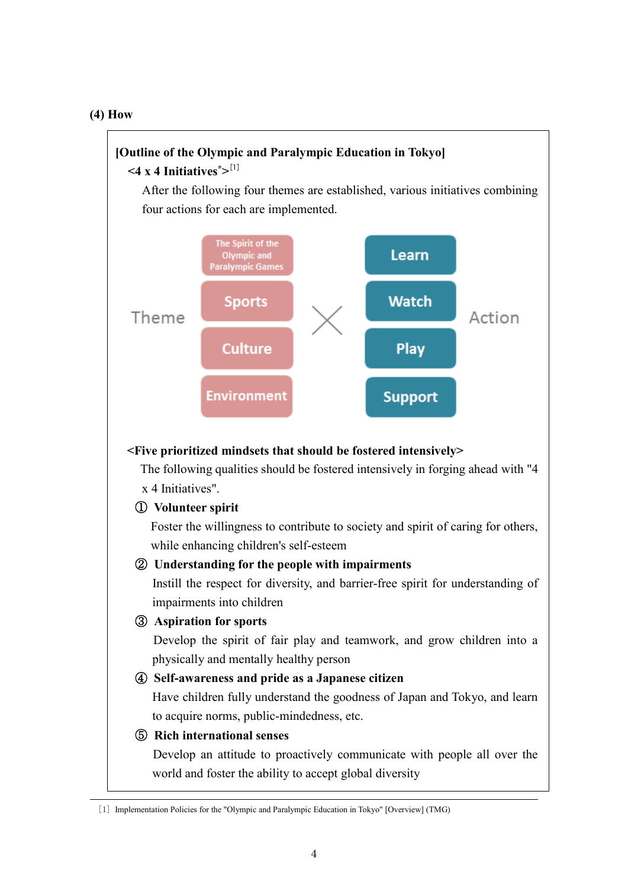#### **(4) How**

# **[Outline of the Olympic and Paralympic Education in Tokyo] <4 x 4 Initiatives\*>** [1]

After the following four themes are established, various initiatives combining four actions for each are implemented.



#### **<Five prioritized mindsets that should be fostered intensively>**

The following qualities should be fostered intensively in forging ahead with "4 x 4 Initiatives".

#### ① **Volunteer spirit**

Foster the willingness to contribute to society and spirit of caring for others, while enhancing children's self-esteem

#### ② **Understanding for the people with impairments**

Instill the respect for diversity, and barrier-free spirit for understanding of impairments into children

# ③ **Aspiration for sports**

Develop the spirit of fair play and teamwork, and grow children into a physically and mentally healthy person

# ④ **Self-awareness and pride as a Japanese citizen**

Have children fully understand the goodness of Japan and Tokyo, and learn to acquire norms, public-mindedness, etc.

# ⑤ **Rich international senses**

Develop an attitude to proactively communicate with people all over the world and foster the ability to accept global diversity

<sup>[1]</sup> Implementation Policies for the "Olympic and Paralympic Education in Tokyo" [Overview] (TMG)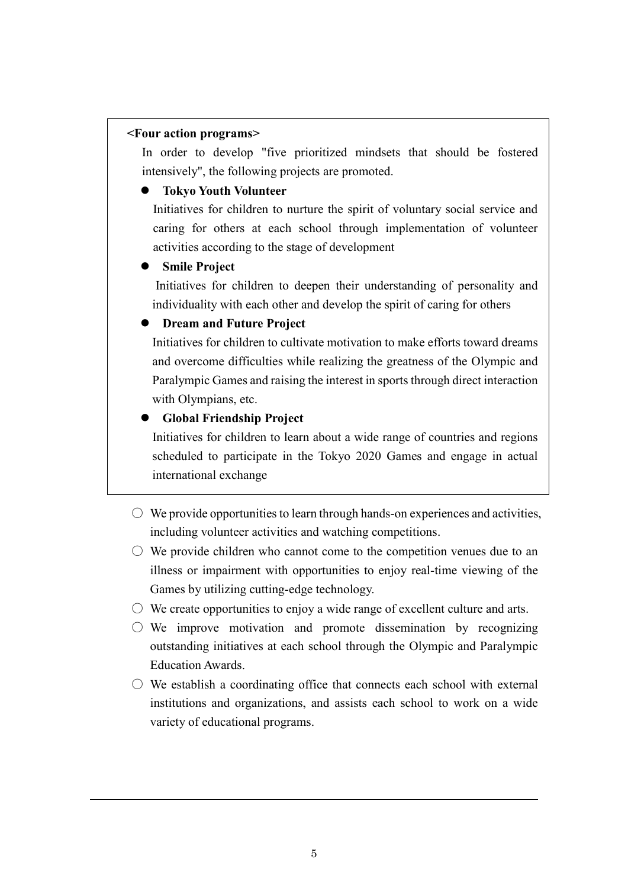#### **<Four action programs>**

In order to develop "five prioritized mindsets that should be fostered intensively", the following projects are promoted.

### **Tokyo Youth Volunteer**

 Initiatives for children to nurture the spirit of voluntary social service and caring for others at each school through implementation of volunteer activities according to the stage of development

### **Smile Project**

 Initiatives for children to deepen their understanding of personality and individuality with each other and develop the spirit of caring for others

### **Dream and Future Project**

Initiatives for children to cultivate motivation to make efforts toward dreams and overcome difficulties while realizing the greatness of the Olympic and Paralympic Games and raising the interest in sports through direct interaction with Olympians, etc.

# **Global Friendship Project**

 Initiatives for children to learn about a wide range of countries and regions scheduled to participate in the Tokyo 2020 Games and engage in actual international exchange

- $\circ$  We provide opportunities to learn through hands-on experiences and activities, including volunteer activities and watching competitions.
- $\circlearrowright$  We provide children who cannot come to the competition venues due to an illness or impairment with opportunities to enjoy real-time viewing of the Games by utilizing cutting-edge technology.
- $\circ$  We create opportunities to enjoy a wide range of excellent culture and arts.
- $\circ$  We improve motivation and promote dissemination by recognizing outstanding initiatives at each school through the Olympic and Paralympic Education Awards.
- $\circlearrowright$  We establish a coordinating office that connects each school with external institutions and organizations, and assists each school to work on a wide variety of educational programs.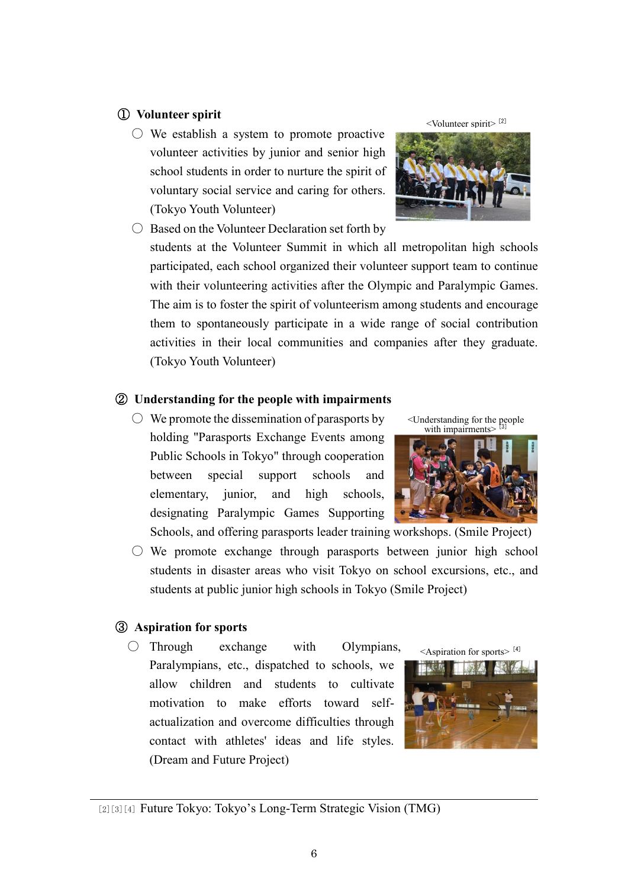# ① **Volunteer spirit**

 $\circlearrowright$  We establish a system to promote proactive volunteer activities by junior and senior high school students in order to nurture the spirit of voluntary social service and caring for others. (Tokyo Youth Volunteer)

 $\bigcirc$  Based on the Volunteer Declaration set forth by students at the Volunteer Summit in which all metropolitan high schools participated, each school organized their volunteer support team to continue with their volunteering activities after the Olympic and Paralympic Games. The aim is to foster the spirit of volunteerism among students and encourage them to spontaneously participate in a wide range of social contribution activities in their local communities and companies after they graduate. (Tokyo Youth Volunteer)

# ② **Understanding for the people with impairments**

 $\bigcirc$  We promote the dissemination of parasports by holding "Parasports Exchange Events among Public Schools in Tokyo" through cooperation between special support schools and elementary, junior, and high schools, designating Paralympic Games Supporting Schools, and offering parasports leader training workshops. (Smile Project)

 $\circ$  We promote exchange through parasports between junior high school students in disaster areas who visit Tokyo on school excursions, etc., and students at public junior high schools in Tokyo (Smile Project)

# ③ **Aspiration for sports**

 $\bigcirc$  Through exchange with Olympians, Paralympians, etc., dispatched to schools, we allow children and students to cultivate motivation to make efforts toward selfactualization and overcome difficulties through contact with athletes' ideas and life styles. (Dream and Future Project)

 $\leq$ Aspiration for sports $>$ <sup>[4]</sup>





<Understanding for the people with impairments>



<sup>[2][3][4]</sup> Future Tokyo: Tokyo's Long-Term Strategic Vision (TMG)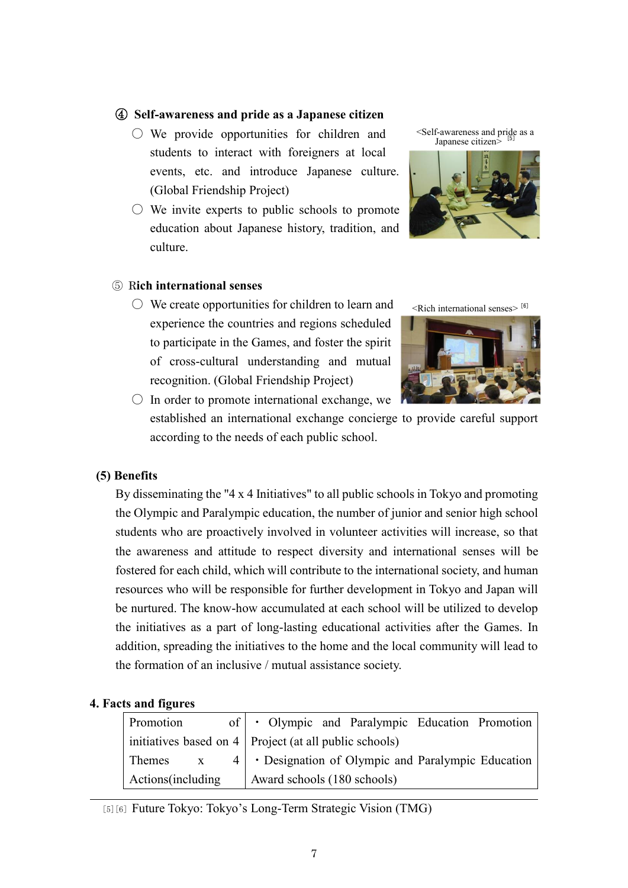#### ④ **Self-awareness and pride as a Japanese citizen**

- We provide opportunities for children and students to interact with foreigners at local events, etc. and introduce Japanese culture. (Global Friendship Project)
- $\circlearrowright$  We invite experts to public schools to promote education about Japanese history, tradition, and culture.

⑤ R**ich international senses**

 $\circlearrowright$  We create opportunities for children to learn and experience the countries and regions scheduled to participate in the Games, and foster the spirit of cross-cultural understanding and mutual recognition. (Global Friendship Project)





<Rich international senses> [6]



 $\bigcirc$  In order to promote international exchange, we established an international exchange concierge to provide careful support according to the needs of each public school.

# **(5) Benefits**

By disseminating the "4 x 4 Initiatives" to all public schools in Tokyo and promoting the Olympic and Paralympic education, the number of junior and senior high school students who are proactively involved in volunteer activities will increase, so that the awareness and attitude to respect diversity and international senses will be fostered for each child, which will contribute to the international society, and human resources who will be responsible for further development in Tokyo and Japan will be nurtured. The know-how accumulated at each school will be utilized to develop the initiatives as a part of long-lasting educational activities after the Games. In addition, spreading the initiatives to the home and the local community will lead to the formation of an inclusive / mutual assistance society.

#### **4. Facts and figures**

| Promotion          | of   • Olympic and Paralympic Education Promotion                |
|--------------------|------------------------------------------------------------------|
|                    | $\vert$ initiatives based on 4   Project (at all public schools) |
| Themes x           | $4 \mid \cdot$ Designation of Olympic and Paralympic Education   |
| Actions (including | Award schools (180 schools)                                      |

[5][6] Future Tokyo: Tokyo's Long-Term Strategic Vision (TMG)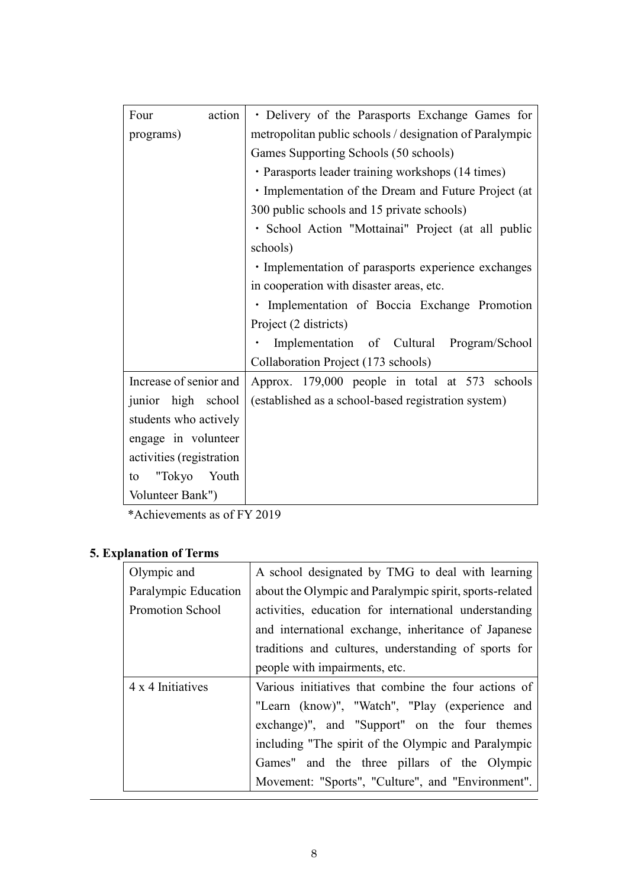| Four                     | action | • Delivery of the Parasports Exchange Games for         |
|--------------------------|--------|---------------------------------------------------------|
|                          |        | metropolitan public schools / designation of Paralympic |
| programs)                |        |                                                         |
|                          |        | Games Supporting Schools (50 schools)                   |
|                          |        | · Parasports leader training workshops (14 times)       |
|                          |        | · Implementation of the Dream and Future Project (at    |
|                          |        | 300 public schools and 15 private schools)              |
|                          |        | · School Action "Mottainai" Project (at all public      |
|                          |        | schools)                                                |
|                          |        | · Implementation of parasports experience exchanges     |
|                          |        | in cooperation with disaster areas, etc.                |
|                          |        | · Implementation of Boccia Exchange Promotion           |
|                          |        | Project (2 districts)                                   |
|                          |        | Implementation of Cultural Program/School               |
|                          |        | Collaboration Project (173 schools)                     |
| Increase of senior and   |        | Approx. 179,000 people in total at 573 schools          |
| junior high school       |        | (established as a school-based registration system)     |
| students who actively    |        |                                                         |
| engage in volunteer      |        |                                                         |
| activities (registration |        |                                                         |
| "Tokyo<br>to             | Youth  |                                                         |
| Volunteer Bank")         |        |                                                         |

\*Achievements as of FY 2019

# **5. Explanation of Terms**

| Olympic and          | A school designated by TMG to deal with learning        |
|----------------------|---------------------------------------------------------|
| Paralympic Education | about the Olympic and Paralympic spirit, sports-related |
| Promotion School     | activities, education for international understanding   |
|                      | and international exchange, inheritance of Japanese     |
|                      | traditions and cultures, understanding of sports for    |
|                      | people with impairments, etc.                           |
| 4 x 4 Initiatives    | Various initiatives that combine the four actions of    |
|                      | "Learn (know)", "Watch", "Play (experience and          |
|                      | exchange)", and "Support" on the four themes            |
|                      | including "The spirit of the Olympic and Paralympic     |
|                      | Games" and the three pillars of the Olympic             |
|                      | Movement: "Sports", "Culture", and "Environment".       |